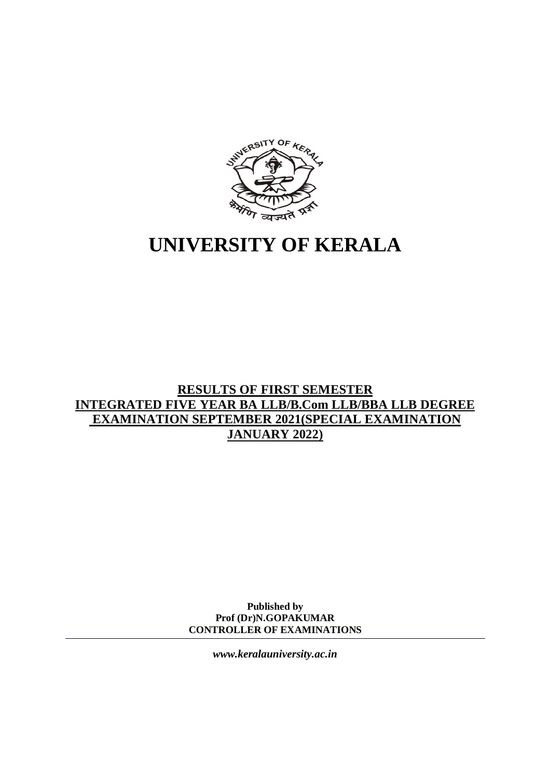

# **UNIVERSITY OF KERALA**

# **RESULTS OF FIRST SEMESTER INTEGRATED FIVE YEAR BA LLB/B.Com LLB/BBA LLB DEGREE EXAMINATION SEPTEMBER 2021(SPECIAL EXAMINATION JANUARY 2022)**

**Published by Prof (Dr)N.GOPAKUMAR CONTROLLER OF EXAMINATIONS**

*[www.keralauniversity.ac.in](http://www.keralauniversity.ac.in)*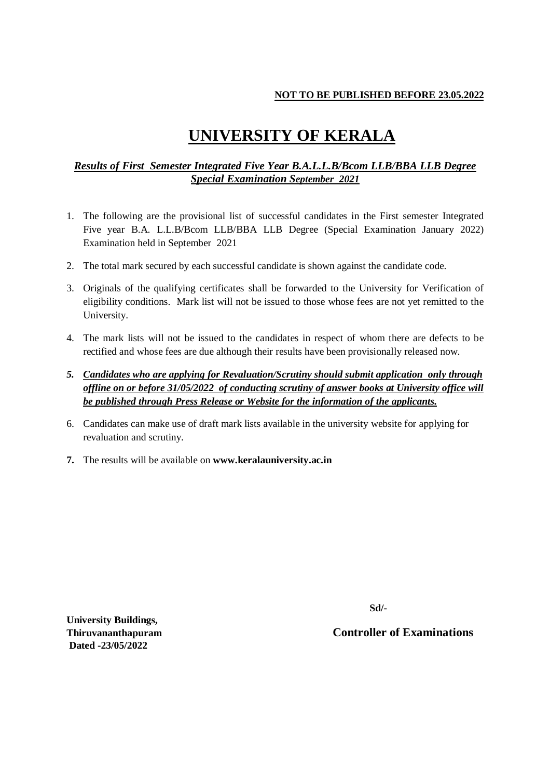# **NOT TO BE PUBLISHED BEFORE 23.05.2022**

# **UNIVERSITY OF KERALA**

# *Results of First Semester Integrated Five Year B.A.L.L.B/Bcom LLB/BBA LLB Degree Special Examination September 2021*

- 1. The following are the provisional list of successful candidates in the First semester Integrated Five year B.A. L.L.B/Bcom LLB/BBA LLB Degree (Special Examination January 2022) Examination held in September 2021
- 2. The total mark secured by each successful candidate is shown against the candidate code.
- 3. Originals of the qualifying certificates shall be forwarded to the University for Verification of eligibility conditions. Mark list will not be issued to those whose fees are not yet remitted to the University.
- 4. The mark lists will not be issued to the candidates in respect of whom there are defects to be rectified and whose fees are due although their results have been provisionally released now.
- *5. Candidates who are applying for Revaluation/Scrutiny should submit application only through offline on or before 31/05/2022 of conducting scrutiny of answer books at University office will be published through Press Release or Website for the information of the applicants.*
- 6. Candidates can make use of draft mark lists available in the university website for applying for revaluation and scrutiny.
- **7.** The results will be available on **[www.keralauniversity.ac.in](http://www.keralauniversity.ac.in)**

**Sd/-**

**University Buildings, Dated -23/05/2022**

**Thiruvananthapuram Controller of Examinations**